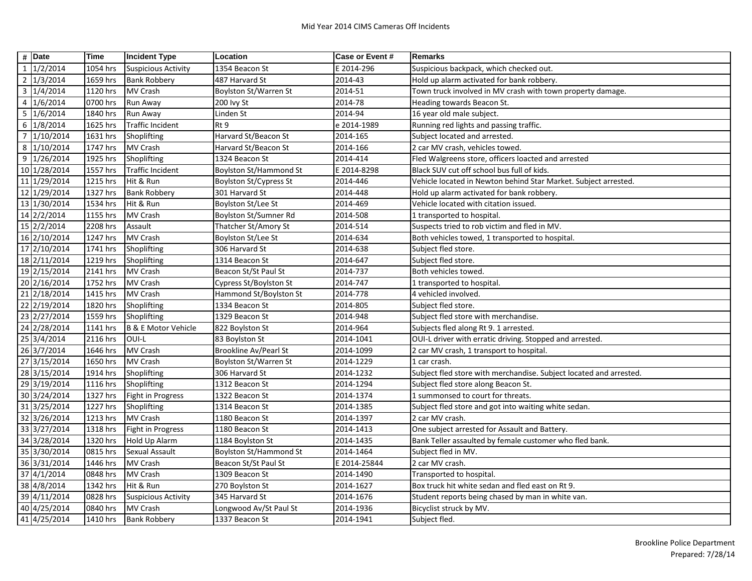|                | $\#$ Date               | <b>Time</b>            | <b>Incident Type</b>       | Location                      | <b>Case or Event #</b> | <b>Remarks</b>                                                     |
|----------------|-------------------------|------------------------|----------------------------|-------------------------------|------------------------|--------------------------------------------------------------------|
|                | $1 \mid 1/2/2014$       | 1054 hrs               | <b>Suspicious Activity</b> | 1354 Beacon St                | E 2014-296             | Suspicious backpack, which checked out.                            |
|                | 2 1/3/2014              | 1659 hrs               | <b>Bank Robbery</b>        | 487 Harvard St                | 2014-43                | Hold up alarm activated for bank robbery.                          |
|                | $3 \mid 1/4/2014$       | 1120 hrs               | <b>MV Crash</b>            | Boylston St/Warren St         | 2014-51                | Town truck involved in MV crash with town property damage.         |
|                | $4 \overline{1/6/2014}$ | 0700 hrs               | Run Away                   | 200 lvy St                    | 2014-78                | Heading towards Beacon St.                                         |
|                | 5 1/6/2014              | 1840 hrs               | Run Away                   | Linden St                     | 2014-94                | 16 year old male subject.                                          |
|                | 6 1/8/2014              | 1625 hrs               | <b>Traffic Incident</b>    | Rt 9                          | e 2014-1989            | Running red lights and passing traffic.                            |
| $\overline{7}$ | 1/10/2014               | 1631 hrs               | Shoplifting                | Harvard St/Beacon St          | 2014-165               | Subject located and arrested.                                      |
|                | 8 1/10/2014             | 1747 hrs               | MV Crash                   | Harvard St/Beacon St          | 2014-166               | 2 car MV crash, vehicles towed.                                    |
|                | 9 1/26/2014             | 1925 hrs               | Shoplifting                | 1324 Beacon St                | 2014-414               | Fled Walgreens store, officers loacted and arrested                |
|                | 10 1/28/2014            | 1557 hrs               | <b>Traffic Incident</b>    | <b>Boylston St/Hammond St</b> | E 2014-8298            | Black SUV cut off school bus full of kids.                         |
|                | 11 1/29/2014            | 1215 hrs               | Hit & Run                  | Boylston St/Cypress St        | 2014-446               | Vehicle located in Newton behind Star Market. Subject arrested.    |
|                | 12 1/29/2014            | 1327 hrs               | <b>Bank Robbery</b>        | 301 Harvard St                | 2014-448               | Hold up alarm activated for bank robbery.                          |
|                | 13 1/30/2014            | 1534 hrs               | Hit & Run                  | Boylston St/Lee St            | 2014-469               | Vehicle located with citation issued.                              |
|                | 14 2/2/2014             | 1155 hrs               | MV Crash                   | Boylston St/Sumner Rd         | 2014-508               | 1 transported to hospital.                                         |
|                | 15 2/2/2014             | 2208 hrs               | Assault                    | Thatcher St/Amory St          | 2014-514               | Suspects tried to rob victim and fled in MV.                       |
|                | 16 2/10/2014            | 1247 hrs               | MV Crash                   | Boylston St/Lee St            | 2014-634               | Both vehicles towed, 1 transported to hospital.                    |
|                | 17 2/10/2014            | 1741 hrs               | Shoplifting                | 306 Harvard St                | 2014-638               | Subject fled store.                                                |
|                | 18 2/11/2014            | 1219 hrs               | Shoplifting                | 1314 Beacon St                | 2014-647               | Subject fled store.                                                |
|                | 19 2/15/2014            | 2141 hrs               | <b>MV Crash</b>            | Beacon St/St Paul St          | 2014-737               | Both vehicles towed.                                               |
|                | 20 2/16/2014            | 1752 hrs               | MV Crash                   | Cypress St/Boylston St        | 2014-747               | 1 transported to hospital.                                         |
|                | 21 2/18/2014            | 1415 hrs               | <b>MV Crash</b>            | Hammond St/Boylston St        | 2014-778               | 4 vehicled involved.                                               |
|                | 22 2/19/2014            | 1820 hrs               | Shoplifting                | 1334 Beacon St                | 2014-805               | Subject fled store.                                                |
|                | 23 2/27/2014            | 1559 hrs               | Shoplifting                | 1329 Beacon St                | 2014-948               | Subject fled store with merchandise.                               |
|                | 24 2/28/2014            | 1141 hrs               | B & E Motor Vehicle        | 822 Boylston St               | 2014-964               | Subjects fled along Rt 9. 1 arrested.                              |
|                | 25 3/4/2014             | 2116 hrs               | OUI-L                      | 83 Boylston St                | 2014-1041              | OUI-L driver with erratic driving. Stopped and arrested.           |
|                | 26 3/7/2014             | 1646 hrs               | <b>MV Crash</b>            | Brookline Av/Pearl St         | 2014-1099              | 2 car MV crash, 1 transport to hospital.                           |
|                | 27 3/15/2014            | 1650 hrs               | <b>MV Crash</b>            | Boylston St/Warren St         | 2014-1229              | 1 car crash.                                                       |
|                | 28 3/15/2014            | 1914 hrs               | Shoplifting                | 306 Harvard St                | 2014-1232              | Subject fled store with merchandise. Subject located and arrested. |
|                | 29 3/19/2014            | 1116 hrs               | Shoplifting                | 1312 Beacon St                | 2014-1294              | Subject fled store along Beacon St.                                |
|                | 30 3/24/2014            | 1327 hrs               | Fight in Progress          | 1322 Beacon St                | 2014-1374              | 1 summonsed to court for threats.                                  |
|                | 31 3/25/2014            | $\overline{1}$ 227 hrs | Shoplifting                | 1314 Beacon St                | 2014-1385              | Subject fled store and got into waiting white sedan.               |
|                | 32 3/26/2014            | 1213 hrs               | MV Crash                   | 1180 Beacon St                | 2014-1397              | 2 car MV crash.                                                    |
|                | 33 3/27/2014            | 1318 hrs               | Fight in Progress          | 1180 Beacon St                | 2014-1413              | One subject arrested for Assault and Battery.                      |
|                | 34 3/28/2014            | 1320 hrs               | <b>Hold Up Alarm</b>       | 1184 Boylston St              | 2014-1435              | Bank Teller assaulted by female customer who fled bank.            |
|                | 35 3/30/2014            | 0815 hrs               | <b>Sexual Assault</b>      | <b>Boylston St/Hammond St</b> | 2014-1464              | Subject fled in MV.                                                |
|                | 36 3/31/2014            | 1446 hrs               | MV Crash                   | Beacon St/St Paul St          | E 2014-25844           | 2 car MV crash.                                                    |
|                | 37 4/1/2014             | 0848 hrs               | <b>MV Crash</b>            | 1309 Beacon St                | 2014-1490              | Transported to hospital.                                           |
|                | 38 4/8/2014             | 1342 hrs               | Hit & Run                  | 270 Boylston St               | 2014-1627              | Box truck hit white sedan and fled east on Rt 9.                   |
|                | 39 4/11/2014            | 0828 hrs               | <b>Suspicious Activity</b> | 345 Harvard St                | 2014-1676              | Student reports being chased by man in white van.                  |
|                | 40 4/25/2014            | 0840 hrs               | <b>MV Crash</b>            | Longwood Av/St Paul St        | 2014-1936              | Bicyclist struck by MV.                                            |
|                | 41 4/25/2014            | 1410 hrs               | <b>Bank Robbery</b>        | 1337 Beacon St                | 2014-1941              | Subject fled.                                                      |